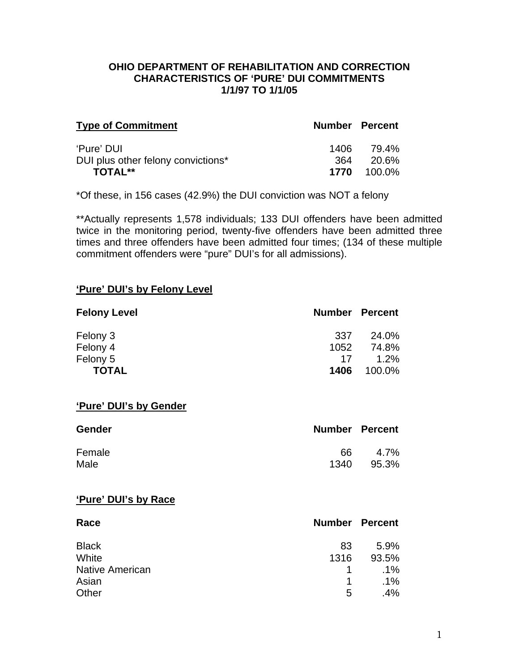### **OHIO DEPARTMENT OF REHABILITATION AND CORRECTION CHARACTERISTICS OF 'PURE' DUI COMMITMENTS 1/1/97 TO 1/1/05**

| <b>Type of Commitment</b>          | <b>Number Percent</b> |                    |
|------------------------------------|-----------------------|--------------------|
| 'Pure' DUI                         | 1406 -                | 79.4%              |
| DUI plus other felony convictions* | 364                   | 20.6%              |
| <b>TOTAL**</b>                     |                       | <b>1770</b> 100.0% |

\*Of these, in 156 cases (42.9%) the DUI conviction was NOT a felony

\*\*Actually represents 1,578 individuals; 133 DUI offenders have been admitted twice in the monitoring period, twenty-five offenders have been admitted three times and three offenders have been admitted four times; (134 of these multiple commitment offenders were "pure" DUI's for all admissions).

#### **'Pure' DUI's by Felony Level**

| <b>Felony Level</b> | <b>Number Percent</b> |        |
|---------------------|-----------------------|--------|
| Felony 3            | 337                   | 24.0%  |
| Felony 4            | 1052                  | 74.8%  |
| Felony 5            | 17                    | 1.2%   |
| <b>TOTAL</b>        | 1406                  | 100.0% |

#### **'Pure' DUI's by Gender**

| <b>Gender</b> | <b>Number Percent</b> |       |
|---------------|-----------------------|-------|
| Female        | 66                    | 4.7%  |
| Male          | 1340                  | 95.3% |

#### **'Pure' DUI's by Race**

| Race                   |      | <b>Number Percent</b> |
|------------------------|------|-----------------------|
| <b>Black</b>           | 83   | 5.9%                  |
| White                  | 1316 | 93.5%                 |
| <b>Native American</b> | 1    | $.1\%$                |
| Asian                  | 1    | $.1\%$                |
| Other                  | 5    | $.4\%$                |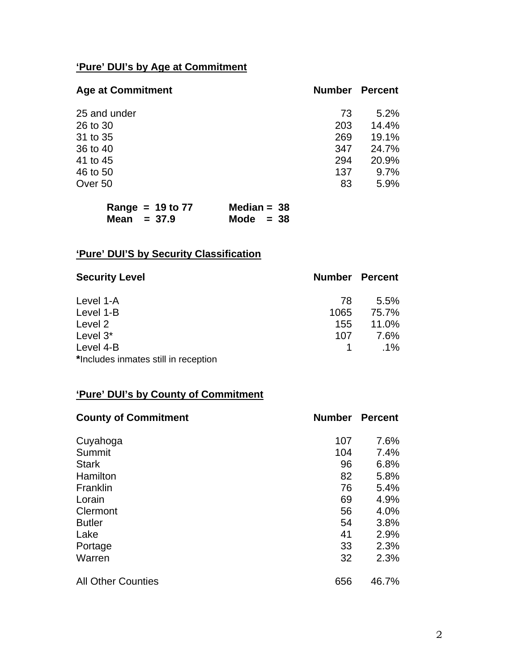# **'Pure' DUI's by Age at Commitment**

| <b>Age at Commitment</b> | <b>Number</b> | Percent |
|--------------------------|---------------|---------|
| 25 and under             | 73            | 5.2%    |
| 26 to 30                 | 203           | 14.4%   |
| 31 to 35                 | 269           | 19.1%   |
| 36 to 40                 | 347           | 24.7%   |
| 41 to 45                 | 294           | 20.9%   |
| 46 to 50                 | 137           | 9.7%    |
| Over 50                  | 83            | 5.9%    |

| Range = $19$ to $77$ | Median = $38$ |
|----------------------|---------------|
| Mean $= 37.9$        | Mode $= 38$   |

# **'Pure' DUI'S by Security Classification**

| <b>Security Level</b>                | <b>Number Percent</b> |         |
|--------------------------------------|-----------------------|---------|
| Level 1-A                            | 78                    | $5.5\%$ |
| Level 1-B                            | 1065                  | 75.7%   |
| Level 2                              | 155                   | 11.0%   |
| Level 3*                             | 107                   | 7.6%    |
| Level 4-B                            |                       | $.1\%$  |
| *Includes inmates still in reception |                       |         |

# **'Pure' DUI's by County of Commitment**

| <b>County of Commitment</b> | <b>Number</b> | <b>Percent</b> |
|-----------------------------|---------------|----------------|
| Cuyahoga                    | 107           | 7.6%           |
| Summit                      | 104           | 7.4%           |
| <b>Stark</b>                | 96            | 6.8%           |
| Hamilton                    | 82            | 5.8%           |
| Franklin                    | 76            | 5.4%           |
| Lorain                      | 69            | 4.9%           |
| Clermont                    | 56            | 4.0%           |
| <b>Butler</b>               | 54            | 3.8%           |
| Lake                        | 41            | 2.9%           |
| Portage                     | 33            | 2.3%           |
| Warren                      | 32            | 2.3%           |
| <b>All Other Counties</b>   | 656           | 46.7%          |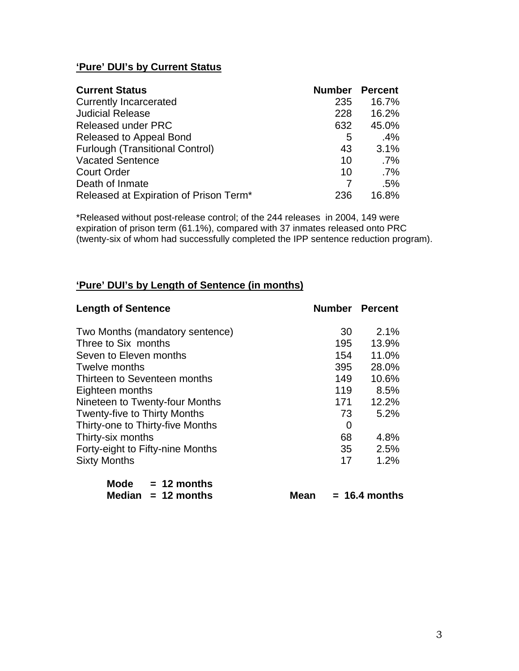## **'Pure' DUI's by Current Status**

| <b>Current Status</b>                  | <b>Number</b> | <b>Percent</b> |
|----------------------------------------|---------------|----------------|
| <b>Currently Incarcerated</b>          | 235           | 16.7%          |
| <b>Judicial Release</b>                | 228           | 16.2%          |
| <b>Released under PRC</b>              | 632           | 45.0%          |
| Released to Appeal Bond                | 5             | .4%            |
| <b>Furlough (Transitional Control)</b> | 43            | 3.1%           |
| <b>Vacated Sentence</b>                | 10            | $.7\%$         |
| <b>Court Order</b>                     | 10            | $.7\%$         |
| Death of Inmate                        |               | .5%            |
| Released at Expiration of Prison Term* | 236           | 16.8%          |

\*Released without post-release control; of the 244 releases in 2004, 149 were expiration of prison term (61.1%), compared with 37 inmates released onto PRC (twenty-six of whom had successfully completed the IPP sentence reduction program).

### **'Pure' DUI's by Length of Sentence (in months)**

| <b>Length of Sentence</b>           | <b>Number Percent</b> |       |
|-------------------------------------|-----------------------|-------|
| Two Months (mandatory sentence)     | 30                    | 2.1%  |
| Three to Six months                 | 195                   | 13.9% |
| Seven to Eleven months              | 154                   | 11.0% |
| Twelve months                       | 395                   | 28.0% |
| Thirteen to Seventeen months        | 149                   | 10.6% |
| Eighteen months                     | 119                   | 8.5%  |
| Nineteen to Twenty-four Months      | 171                   | 12.2% |
| <b>Twenty-five to Thirty Months</b> | 73                    | 5.2%  |
| Thirty-one to Thirty-five Months    | 0                     |       |
| Thirty-six months                   | 68                    | 4.8%  |
| Forty-eight to Fifty-nine Months    | 35                    | 2.5%  |
| <b>Sixty Months</b>                 | 17                    | 1.2%  |
| 48. 41. .                           |                       |       |

| Mode | $= 12$ months        |
|------|----------------------|
|      | Median $= 12$ months |

 $Mean = 16.4 months$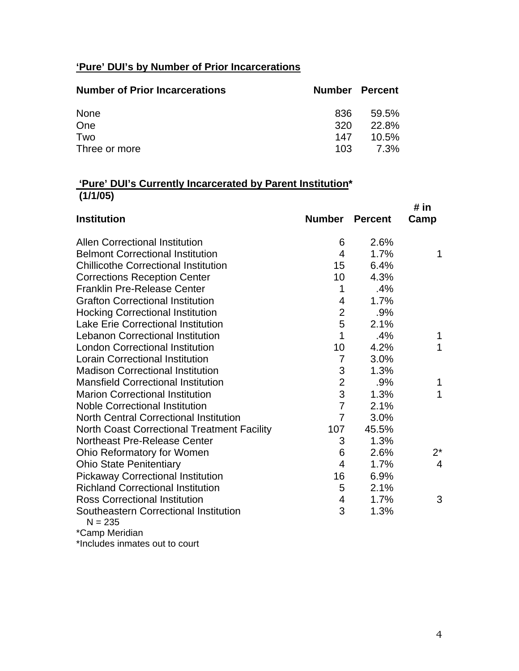# **'Pure' DUI's by Number of Prior Incarcerations**

| <b>Number of Prior Incarcerations</b> | <b>Number Percent</b> |       |
|---------------------------------------|-----------------------|-------|
| None                                  | 836                   | 59.5% |
| One                                   | 320 <sup>-</sup>      | 22.8% |
| Two                                   | 147                   | 10.5% |
| Three or more                         | 103                   | 7.3%  |

# **'Pure' DUI's Currently Incarcerated by Parent Institution\* (1/1/05)**

|                                                    |                           |                | # in  |
|----------------------------------------------------|---------------------------|----------------|-------|
| <b>Institution</b>                                 | <b>Number</b>             | <b>Percent</b> | Camp  |
| <b>Allen Correctional Institution</b>              | 6                         | 2.6%           |       |
| <b>Belmont Correctional Institution</b>            | 4                         | 1.7%           | 1     |
| <b>Chillicothe Correctional Institution</b>        | 15                        | 6.4%           |       |
| <b>Corrections Reception Center</b>                | 10                        | 4.3%           |       |
| <b>Franklin Pre-Release Center</b>                 | 1                         | .4%            |       |
| <b>Grafton Correctional Institution</b>            | 4                         | 1.7%           |       |
| <b>Hocking Correctional Institution</b>            | $\overline{2}$            | .9%            |       |
| <b>Lake Erie Correctional Institution</b>          | 5                         | 2.1%           |       |
| <b>Lebanon Correctional Institution</b>            | 1                         | .4%            | 1     |
| <b>London Correctional Institution</b>             | 10                        | 4.2%           | 1     |
| <b>Lorain Correctional Institution</b>             | $\overline{7}$            | 3.0%           |       |
| <b>Madison Correctional Institution</b>            | $\ensuremath{\mathsf{3}}$ | 1.3%           |       |
| <b>Mansfield Correctional Institution</b>          | $\overline{2}$            | .9%            | 1     |
| <b>Marion Correctional Institution</b>             | 3                         | 1.3%           | 1     |
| <b>Noble Correctional Institution</b>              | $\overline{7}$            | 2.1%           |       |
| <b>North Central Correctional Institution</b>      | $\overline{7}$            | 3.0%           |       |
| <b>North Coast Correctional Treatment Facility</b> | 107                       | 45.5%          |       |
| <b>Northeast Pre-Release Center</b>                | 3                         | 1.3%           |       |
| Ohio Reformatory for Women                         | 6                         | 2.6%           | $2^*$ |
| <b>Ohio State Penitentiary</b>                     | $\overline{4}$            | 1.7%           | 4     |
| <b>Pickaway Correctional Institution</b>           | 16                        | 6.9%           |       |
| <b>Richland Correctional Institution</b>           | 5                         | 2.1%           |       |
| <b>Ross Correctional Institution</b>               | $\overline{\mathbf{4}}$   | 1.7%           | 3     |
| Southeastern Correctional Institution<br>$N = 235$ | 3                         | 1.3%           |       |
| *Camp Meridian                                     |                           |                |       |

\*Includes inmates out to court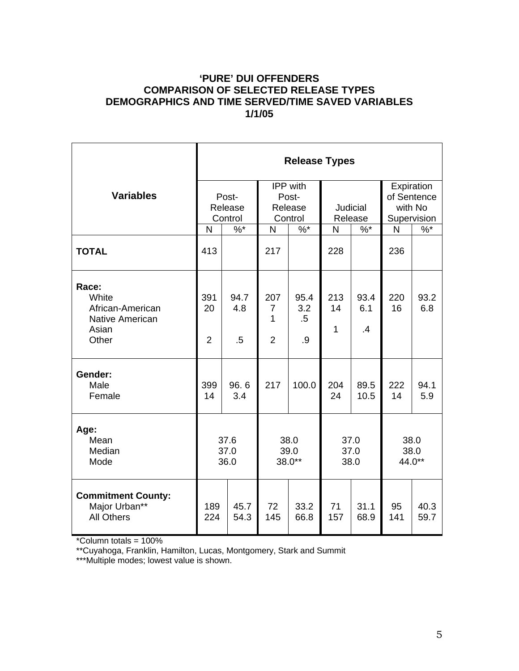## **'PURE' DUI OFFENDERS COMPARISON OF SELECTED RELEASE TYPES DEMOGRAPHICS AND TIME SERVED/TIME SAVED VARIABLES 1/1/05**

|                                                                                | <b>Release Types</b>          |                       |                                                |                             |                      |                        |                                                     |               |
|--------------------------------------------------------------------------------|-------------------------------|-----------------------|------------------------------------------------|-----------------------------|----------------------|------------------------|-----------------------------------------------------|---------------|
| <b>Variables</b>                                                               | Post-<br>Release<br>Control   |                       | <b>IPP</b> with<br>Post-<br>Release<br>Control |                             | Judicial<br>Release  |                        | Expiration<br>of Sentence<br>with No<br>Supervision |               |
|                                                                                | $\frac{9}{6}$<br>$\mathsf{N}$ |                       | $\frac{9}{6}$<br>N                             |                             | $\%$ *<br>N          |                        | N                                                   | $\frac{9}{6}$ |
| <b>TOTAL</b>                                                                   | 413                           |                       | 217                                            |                             | 228                  |                        | 236                                                 |               |
| Race:<br>White<br>African-American<br><b>Native American</b><br>Asian<br>Other | 391<br>20<br>$\overline{2}$   | 94.7<br>4.8<br>$.5\,$ | 207<br>$\overline{7}$<br>1<br>$\overline{2}$   | 95.4<br>3.2<br>$.5\,$<br>.9 | 213<br>14<br>1       | 93.4<br>6.1<br>$\cdot$ | 220<br>16                                           | 93.2<br>6.8   |
| Gender:<br>Male<br>Female                                                      | 399<br>14                     | 96.6<br>3.4           | 217                                            | 100.0                       | 204<br>24            | 89.5<br>10.5           | 222<br>14                                           | 94.1<br>5.9   |
| Age:<br>Mean<br>Median<br>Mode                                                 | 37.6<br>37.0<br>36.0          |                       | 38.0<br>39.0<br>38.0**                         |                             | 37.0<br>37.0<br>38.0 |                        | 38.0<br>38.0<br>44.0**                              |               |
| <b>Commitment County:</b><br>Major Urban**<br><b>All Others</b>                | 189<br>224                    | 45.7<br>54.3          | 72<br>145                                      | 33.2<br>66.8                | 71<br>157            | 31.1<br>68.9           | 95<br>141                                           | 40.3<br>59.7  |

\*Column totals = 100%

\*\*Cuyahoga, Franklin, Hamilton, Lucas, Montgomery, Stark and Summit

\*\*\*Multiple modes; lowest value is shown.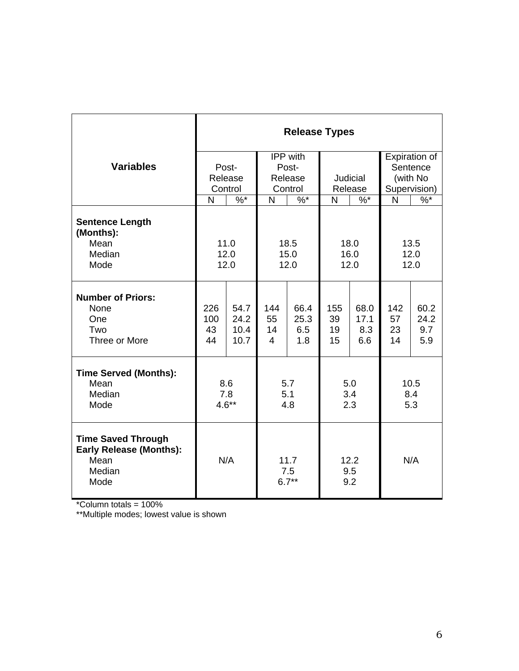|                                                                                       | <b>Release Types</b>   |                              |                                              |                                              |                       |                            |                           |                            |
|---------------------------------------------------------------------------------------|------------------------|------------------------------|----------------------------------------------|----------------------------------------------|-----------------------|----------------------------|---------------------------|----------------------------|
| <b>Variables</b>                                                                      | Post-                  |                              | IPP with<br>Post-                            |                                              |                       |                            | Expiration of<br>Sentence |                            |
|                                                                                       | Release<br>Control     |                              | Release<br>Control                           |                                              | Judicial<br>Release   |                            | (with No<br>Supervision)  |                            |
|                                                                                       | N                      | $\%$ *                       | N                                            | $\%$ *                                       | $\%$ *<br>N           |                            | N                         | $\%$ *                     |
| <b>Sentence Length</b><br>(Months):<br>Mean<br>Median<br>Mode                         |                        | 11.0<br>12.0<br>12.0         |                                              | 18.0<br>18.5<br>15.0<br>16.0<br>12.0<br>12.0 |                       | 13.5<br>12.0<br>12.0       |                           |                            |
| <b>Number of Priors:</b><br>None<br>One<br>Two<br>Three or More                       | 226<br>100<br>43<br>44 | 54.7<br>24.2<br>10.4<br>10.7 | 144<br>55<br>14<br>$\overline{4}$            | 66.4<br>25.3<br>6.5<br>1.8                   | 155<br>39<br>19<br>15 | 68.0<br>17.1<br>8.3<br>6.6 | 142<br>57<br>23<br>14     | 60.2<br>24.2<br>9.7<br>5.9 |
| <b>Time Served (Months):</b><br>Mean<br>Median<br>Mode                                | 8.6<br>7.8<br>$4.6**$  |                              | 5.7<br>5.1<br>4.8                            |                                              | 5.0<br>3.4<br>2.3     |                            | 10.5<br>8.4<br>5.3        |                            |
| <b>Time Saved Through</b><br><b>Early Release (Months):</b><br>Mean<br>Median<br>Mode |                        | N/A                          | 12.2<br>11.7<br>9.5<br>7.5<br>$6.7**$<br>9.2 |                                              | N/A                   |                            |                           |                            |

\*Column totals = 100%

\*\*Multiple modes; lowest value is shown